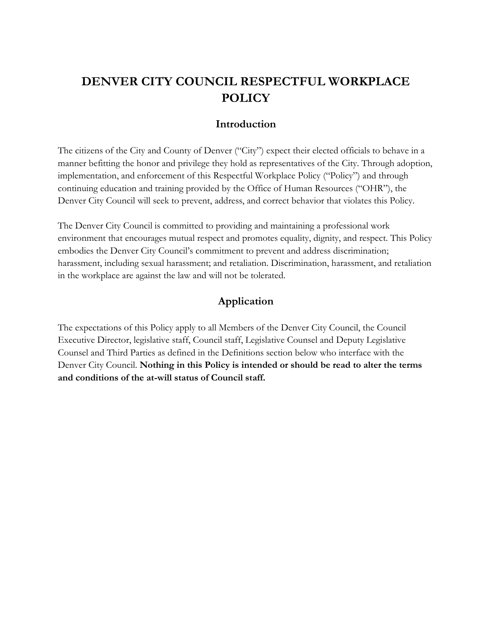# **DENVER CITY COUNCIL RESPECTFUL WORKPLACE POLICY**

### **Introduction**

The citizens of the City and County of Denver ("City") expect their elected officials to behave in a manner befitting the honor and privilege they hold as representatives of the City. Through adoption, implementation, and enforcement of this Respectful Workplace Policy ("Policy") and through continuing education and training provided by the Office of Human Resources ("OHR"), the Denver City Council will seek to prevent, address, and correct behavior that violates this Policy.

The Denver City Council is committed to providing and maintaining a professional work environment that encourages mutual respect and promotes equality, dignity, and respect. This Policy embodies the Denver City Council's commitment to prevent and address discrimination; harassment, including sexual harassment; and retaliation. Discrimination, harassment, and retaliation in the workplace are against the law and will not be tolerated.

### **Application**

The expectations of this Policy apply to all Members of the Denver City Council, the Council Executive Director, legislative staff, Council staff, Legislative Counsel and Deputy Legislative Counsel and Third Parties as defined in the Definitions section below who interface with the Denver City Council. **Nothing in this Policy is intended or should be read to alter the terms and conditions of the at-will status of Council staff.**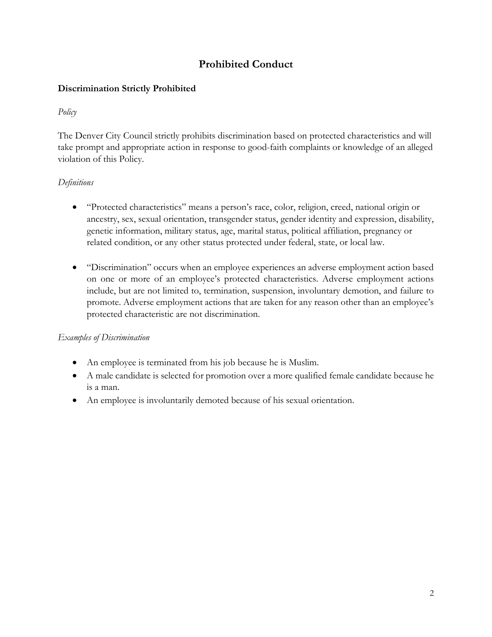# **Prohibited Conduct**

# **Discrimination Strictly Prohibited**

## *Policy*

The Denver City Council strictly prohibits discrimination based on protected characteristics and will take prompt and appropriate action in response to good-faith complaints or knowledge of an alleged violation of this Policy.

# *Definitions*

- "Protected characteristics" means a person's race, color, religion, creed, national origin or ancestry, sex, sexual orientation, transgender status, gender identity and expression, disability, genetic information, military status, age, marital status, political affiliation, pregnancy or related condition, or any other status protected under federal, state, or local law.
- "Discrimination" occurs when an employee experiences an adverse employment action based on one or more of an employee's protected characteristics. Adverse employment actions include, but are not limited to, termination, suspension, involuntary demotion, and failure to promote. Adverse employment actions that are taken for any reason other than an employee's protected characteristic are not discrimination.

### *Examples of Discrimination*

- An employee is terminated from his job because he is Muslim.
- A male candidate is selected for promotion over a more qualified female candidate because he is a man.
- An employee is involuntarily demoted because of his sexual orientation.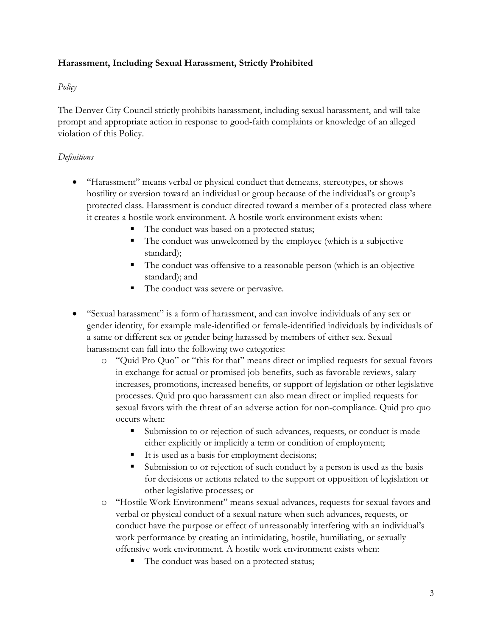### **Harassment, Including Sexual Harassment, Strictly Prohibited**

### *Policy*

The Denver City Council strictly prohibits harassment, including sexual harassment, and will take prompt and appropriate action in response to good-faith complaints or knowledge of an alleged violation of this Policy.

### *Definitions*

- "Harassment" means verbal or physical conduct that demeans, stereotypes, or shows hostility or aversion toward an individual or group because of the individual's or group's protected class. Harassment is conduct directed toward a member of a protected class where it creates a hostile work environment. A hostile work environment exists when:
	- The conduct was based on a protected status;
	- The conduct was unwelcomed by the employee (which is a subjective standard);
	- The conduct was offensive to a reasonable person (which is an objective standard); and
	- The conduct was severe or pervasive.
- "Sexual harassment" is a form of harassment, and can involve individuals of any sex or gender identity, for example male-identified or female-identified individuals by individuals of a same or different sex or gender being harassed by members of either sex. Sexual harassment can fall into the following two categories:
	- o "Quid Pro Quo" or "this for that" means direct or implied requests for sexual favors in exchange for actual or promised job benefits, such as favorable reviews, salary increases, promotions, increased benefits, or support of legislation or other legislative processes. Quid pro quo harassment can also mean direct or implied requests for sexual favors with the threat of an adverse action for non-compliance. Quid pro quo occurs when:
		- Submission to or rejection of such advances, requests, or conduct is made either explicitly or implicitly a term or condition of employment;
		- It is used as a basis for employment decisions;
		- Submission to or rejection of such conduct by a person is used as the basis for decisions or actions related to the support or opposition of legislation or other legislative processes; or
	- o "Hostile Work Environment" means sexual advances, requests for sexual favors and verbal or physical conduct of a sexual nature when such advances, requests, or conduct have the purpose or effect of unreasonably interfering with an individual's work performance by creating an intimidating, hostile, humiliating, or sexually offensive work environment. A hostile work environment exists when:
		- The conduct was based on a protected status;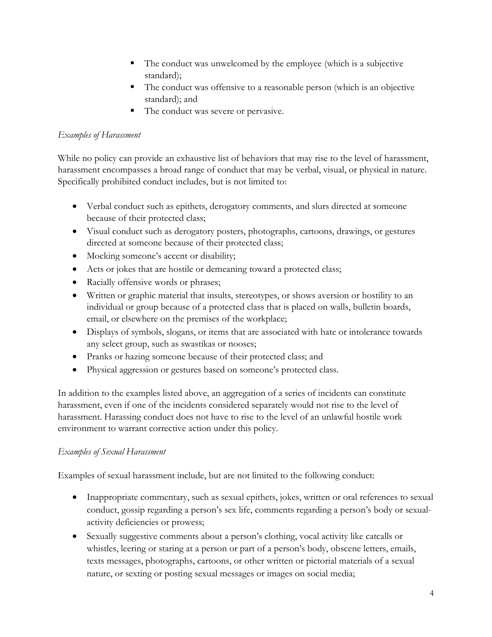- The conduct was unwelcomed by the employee (which is a subjective standard);
- The conduct was offensive to a reasonable person (which is an objective standard); and
- The conduct was severe or pervasive.

### *Examples of Harassment*

While no policy can provide an exhaustive list of behaviors that may rise to the level of harassment, harassment encompasses a broad range of conduct that may be verbal, visual, or physical in nature. Specifically prohibited conduct includes, but is not limited to:

- Verbal conduct such as epithets, derogatory comments, and slurs directed at someone because of their protected class;
- Visual conduct such as derogatory posters, photographs, cartoons, drawings, or gestures directed at someone because of their protected class;
- Mocking someone's accent or disability;
- Acts or jokes that are hostile or demeaning toward a protected class;
- Racially offensive words or phrases;
- Written or graphic material that insults, stereotypes, or shows aversion or hostility to an individual or group because of a protected class that is placed on walls, bulletin boards, email, or elsewhere on the premises of the workplace;
- Displays of symbols, slogans, or items that are associated with hate or intolerance towards any select group, such as swastikas or nooses;
- Pranks or hazing someone because of their protected class; and
- Physical aggression or gestures based on someone's protected class.

In addition to the examples listed above, an aggregation of a series of incidents can constitute harassment, even if one of the incidents considered separately would not rise to the level of harassment. Harassing conduct does not have to rise to the level of an unlawful hostile work environment to warrant corrective action under this policy.

### *Examples of Sexual Harassment*

Examples of sexual harassment include, but are not limited to the following conduct:

- Inappropriate commentary, such as sexual epithets, jokes, written or oral references to sexual conduct, gossip regarding a person's sex life, comments regarding a person's body or sexualactivity deficiencies or prowess;
- Sexually suggestive comments about a person's clothing, vocal activity like catcalls or whistles, leering or staring at a person or part of a person's body, obscene letters, emails, texts messages, photographs, cartoons, or other written or pictorial materials of a sexual nature, or sexting or posting sexual messages or images on social media;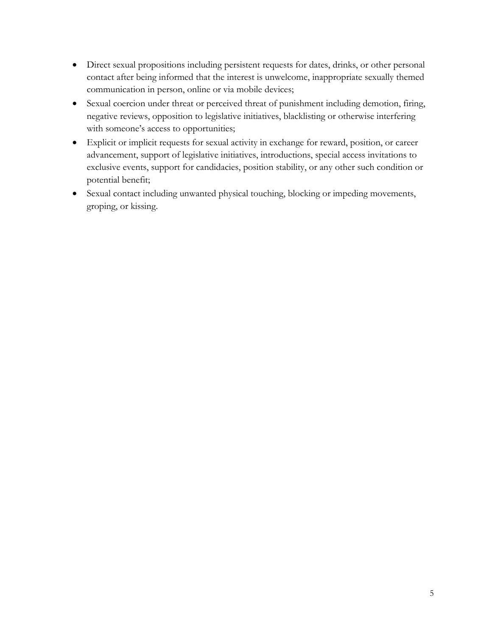- Direct sexual propositions including persistent requests for dates, drinks, or other personal contact after being informed that the interest is unwelcome, inappropriate sexually themed communication in person, online or via mobile devices;
- Sexual coercion under threat or perceived threat of punishment including demotion, firing, negative reviews, opposition to legislative initiatives, blacklisting or otherwise interfering with someone's access to opportunities;
- Explicit or implicit requests for sexual activity in exchange for reward, position, or career advancement, support of legislative initiatives, introductions, special access invitations to exclusive events, support for candidacies, position stability, or any other such condition or potential benefit;
- Sexual contact including unwanted physical touching, blocking or impeding movements, groping, or kissing.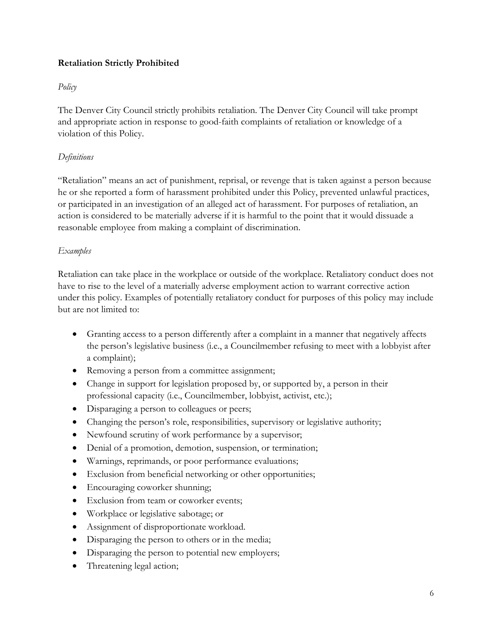### **Retaliation Strictly Prohibited**

### *Policy*

The Denver City Council strictly prohibits retaliation. The Denver City Council will take prompt and appropriate action in response to good-faith complaints of retaliation or knowledge of a violation of this Policy.

## *Definitions*

"Retaliation" means an act of punishment, reprisal, or revenge that is taken against a person because he or she reported a form of harassment prohibited under this Policy, prevented unlawful practices, or participated in an investigation of an alleged act of harassment. For purposes of retaliation, an action is considered to be materially adverse if it is harmful to the point that it would dissuade a reasonable employee from making a complaint of discrimination.

## *Examples*

Retaliation can take place in the workplace or outside of the workplace. Retaliatory conduct does not have to rise to the level of a materially adverse employment action to warrant corrective action under this policy. Examples of potentially retaliatory conduct for purposes of this policy may include but are not limited to:

- Granting access to a person differently after a complaint in a manner that negatively affects the person's legislative business (i.e., a Councilmember refusing to meet with a lobbyist after a complaint);
- Removing a person from a committee assignment;
- Change in support for legislation proposed by, or supported by, a person in their professional capacity (i.e., Councilmember, lobbyist, activist, etc.);
- Disparaging a person to colleagues or peers;
- Changing the person's role, responsibilities, supervisory or legislative authority;
- Newfound scrutiny of work performance by a supervisor;
- Denial of a promotion, demotion, suspension, or termination;
- Warnings, reprimands, or poor performance evaluations;
- Exclusion from beneficial networking or other opportunities;
- Encouraging coworker shunning;
- Exclusion from team or coworker events;
- Workplace or legislative sabotage; or
- Assignment of disproportionate workload.
- Disparaging the person to others or in the media;
- Disparaging the person to potential new employers;
- Threatening legal action;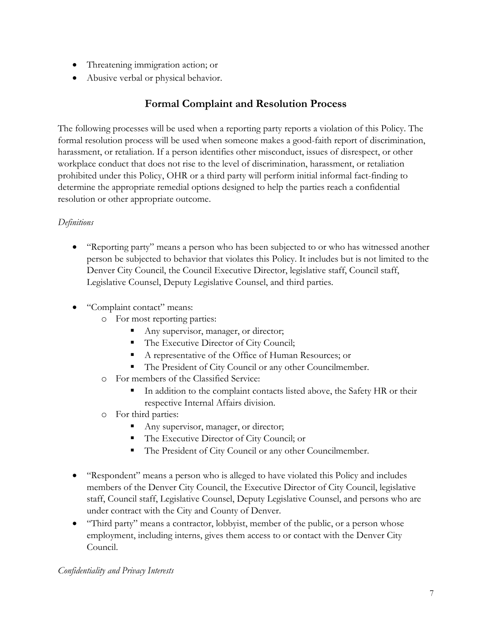- Threatening immigration action; or
- Abusive verbal or physical behavior.

# **Formal Complaint and Resolution Process**

The following processes will be used when a reporting party reports a violation of this Policy. The formal resolution process will be used when someone makes a good-faith report of discrimination, harassment, or retaliation. If a person identifies other misconduct, issues of disrespect, or other workplace conduct that does not rise to the level of discrimination, harassment, or retaliation prohibited under this Policy, OHR or a third party will perform initial informal fact-finding to determine the appropriate remedial options designed to help the parties reach a confidential resolution or other appropriate outcome.

# *Definitions*

- "Reporting party" means a person who has been subjected to or who has witnessed another person be subjected to behavior that violates this Policy. It includes but is not limited to the Denver City Council, the Council Executive Director, legislative staff, Council staff, Legislative Counsel, Deputy Legislative Counsel, and third parties.
- "Complaint contact" means:
	- o For most reporting parties:
		- Any supervisor, manager, or director;
		- The Executive Director of City Council;
		- A representative of the Office of Human Resources; or
		- The President of City Council or any other Councilmember.
	- o For members of the Classified Service:
		- In addition to the complaint contacts listed above, the Safety HR or their respective Internal Affairs division.
	- o For third parties:
		- Any supervisor, manager, or director;
		- The Executive Director of City Council; or
		- The President of City Council or any other Councilmember.
- "Respondent" means a person who is alleged to have violated this Policy and includes members of the Denver City Council, the Executive Director of City Council, legislative staff, Council staff, Legislative Counsel, Deputy Legislative Counsel, and persons who are under contract with the City and County of Denver.
- "Third party" means a contractor, lobbyist, member of the public, or a person whose employment, including interns, gives them access to or contact with the Denver City Council.

### *Confidentiality and Privacy Interests*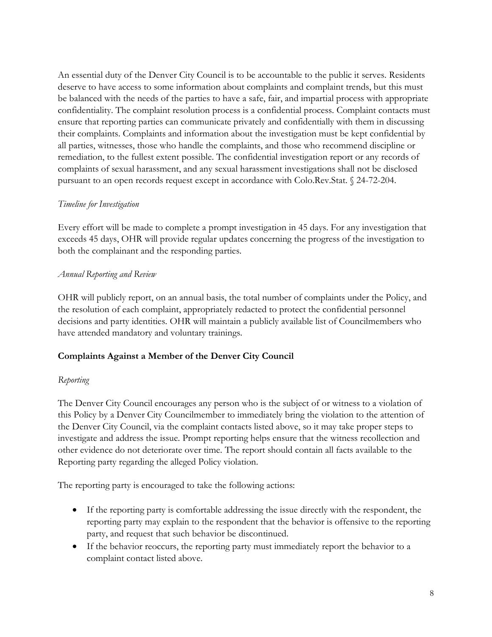An essential duty of the Denver City Council is to be accountable to the public it serves. Residents deserve to have access to some information about complaints and complaint trends, but this must be balanced with the needs of the parties to have a safe, fair, and impartial process with appropriate confidentiality. The complaint resolution process is a confidential process. Complaint contacts must ensure that reporting parties can communicate privately and confidentially with them in discussing their complaints. Complaints and information about the investigation must be kept confidential by all parties, witnesses, those who handle the complaints, and those who recommend discipline or remediation, to the fullest extent possible. The confidential investigation report or any records of complaints of sexual harassment, and any sexual harassment investigations shall not be disclosed pursuant to an open records request except in accordance with Colo.Rev.Stat. § 24-72-204.

### *Timeline for Investigation*

Every effort will be made to complete a prompt investigation in 45 days. For any investigation that exceeds 45 days, OHR will provide regular updates concerning the progress of the investigation to both the complainant and the responding parties.

### *Annual Reporting and Review*

OHR will publicly report, on an annual basis, the total number of complaints under the Policy, and the resolution of each complaint, appropriately redacted to protect the confidential personnel decisions and party identities. OHR will maintain a publicly available list of Councilmembers who have attended mandatory and voluntary trainings.

# **Complaints Against a Member of the Denver City Council**

#### *Reporting*

The Denver City Council encourages any person who is the subject of or witness to a violation of this Policy by a Denver City Councilmember to immediately bring the violation to the attention of the Denver City Council, via the complaint contacts listed above, so it may take proper steps to investigate and address the issue. Prompt reporting helps ensure that the witness recollection and other evidence do not deteriorate over time. The report should contain all facts available to the Reporting party regarding the alleged Policy violation.

The reporting party is encouraged to take the following actions:

- If the reporting party is comfortable addressing the issue directly with the respondent, the reporting party may explain to the respondent that the behavior is offensive to the reporting party, and request that such behavior be discontinued.
- If the behavior reoccurs, the reporting party must immediately report the behavior to a complaint contact listed above.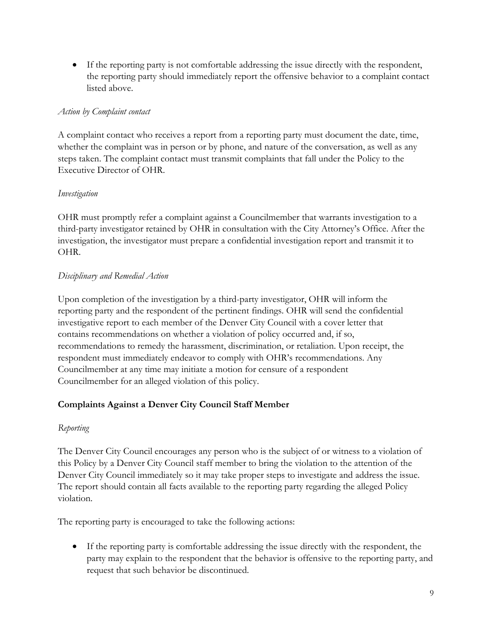If the reporting party is not comfortable addressing the issue directly with the respondent, the reporting party should immediately report the offensive behavior to a complaint contact listed above.

### *Action by Complaint contact*

A complaint contact who receives a report from a reporting party must document the date, time, whether the complaint was in person or by phone, and nature of the conversation, as well as any steps taken. The complaint contact must transmit complaints that fall under the Policy to the Executive Director of OHR.

### *Investigation*

OHR must promptly refer a complaint against a Councilmember that warrants investigation to a third-party investigator retained by OHR in consultation with the City Attorney's Office. After the investigation, the investigator must prepare a confidential investigation report and transmit it to OHR.

### *Disciplinary and Remedial Action*

Upon completion of the investigation by a third-party investigator, OHR will inform the reporting party and the respondent of the pertinent findings. OHR will send the confidential investigative report to each member of the Denver City Council with a cover letter that contains recommendations on whether a violation of policy occurred and, if so, recommendations to remedy the harassment, discrimination, or retaliation. Upon receipt, the respondent must immediately endeavor to comply with OHR's recommendations. Any Councilmember at any time may initiate a motion for censure of a respondent Councilmember for an alleged violation of this policy.

### **Complaints Against a Denver City Council Staff Member**

### *Reporting*

The Denver City Council encourages any person who is the subject of or witness to a violation of this Policy by a Denver City Council staff member to bring the violation to the attention of the Denver City Council immediately so it may take proper steps to investigate and address the issue. The report should contain all facts available to the reporting party regarding the alleged Policy violation.

The reporting party is encouraged to take the following actions:

 If the reporting party is comfortable addressing the issue directly with the respondent, the party may explain to the respondent that the behavior is offensive to the reporting party, and request that such behavior be discontinued.